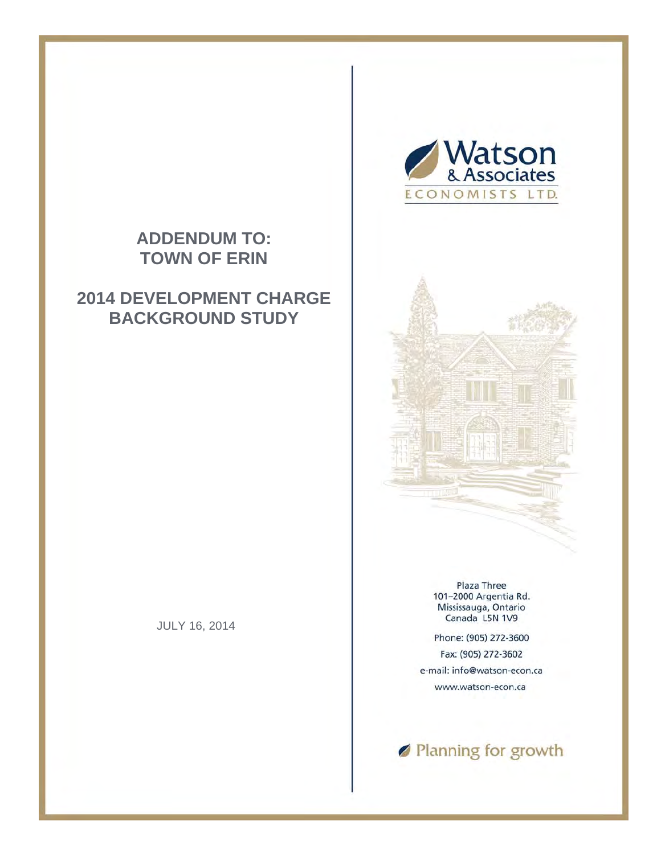## **ADDENDUM TO: TOWN OF ERIN**

## **2014 DEVELOPMENT CHARGE BACKGROUND STUDY**

JULY 16, 2014





Plaza Three 101-2000 Argentia Rd. Mississauga, Ontario Canada L5N 1V9

Phone: (905) 272-3600 Fax: (905) 272-3602 e-mail: info@watson-econ.ca www.watson-econ.ca

Ranning for growth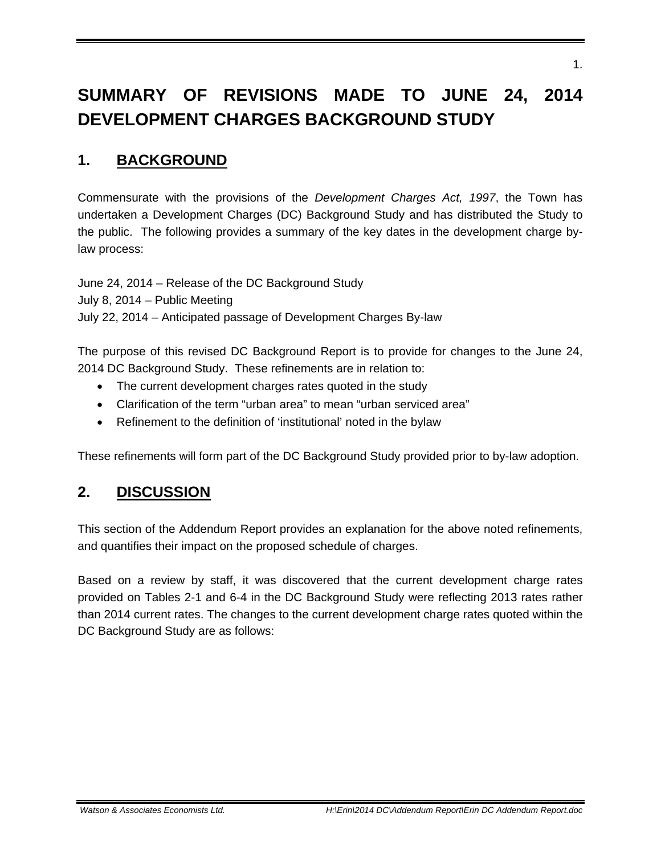# **SUMMARY OF REVISIONS MADE TO JUNE 24, 2014 DEVELOPMENT CHARGES BACKGROUND STUDY**

## **1. BACKGROUND**

Commensurate with the provisions of the *Development Charges Act, 1997*, the Town has undertaken a Development Charges (DC) Background Study and has distributed the Study to the public. The following provides a summary of the key dates in the development charge bylaw process:

June 24, 2014 – Release of the DC Background Study

July 8, 2014 – Public Meeting

July 22, 2014 – Anticipated passage of Development Charges By-law

The purpose of this revised DC Background Report is to provide for changes to the June 24, 2014 DC Background Study. These refinements are in relation to:

- The current development charges rates quoted in the study
- Clarification of the term "urban area" to mean "urban serviced area"
- Refinement to the definition of 'institutional' noted in the bylaw

These refinements will form part of the DC Background Study provided prior to by-law adoption.

#### **2. DISCUSSION**

This section of the Addendum Report provides an explanation for the above noted refinements, and quantifies their impact on the proposed schedule of charges.

Based on a review by staff, it was discovered that the current development charge rates provided on Tables 2-1 and 6-4 in the DC Background Study were reflecting 2013 rates rather than 2014 current rates. The changes to the current development charge rates quoted within the DC Background Study are as follows: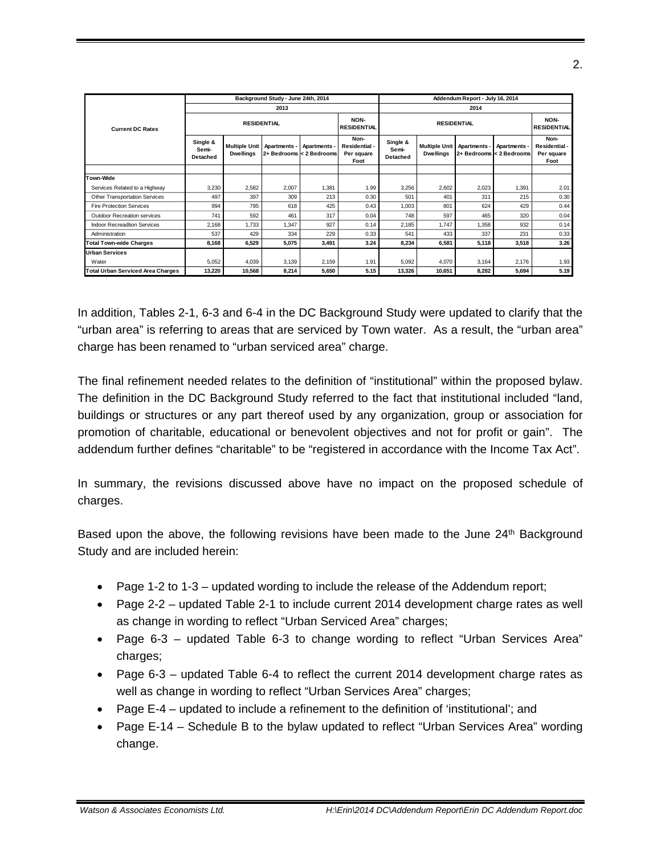|                                    | Background Study - June 24th, 2014 |                                          |              |                                          | Addendum Report - July 16, 2014             |                               |                                          |              |                                          |                                             |
|------------------------------------|------------------------------------|------------------------------------------|--------------|------------------------------------------|---------------------------------------------|-------------------------------|------------------------------------------|--------------|------------------------------------------|---------------------------------------------|
| <b>Current DC Rates</b>            | 2013                               |                                          |              |                                          | 2014                                        |                               |                                          |              |                                          |                                             |
|                                    | <b>RESIDENTIAL</b>                 |                                          |              |                                          | NON-<br><b>RESIDENTIAL</b>                  | <b>RESIDENTIAL</b>            |                                          |              | NON-<br><b>RESIDENTIAL</b>               |                                             |
|                                    | Single &<br>Semi-<br>Detached      | <b>Multiple Unit</b><br><b>Dwellings</b> | Apartments - | Apartments -<br>2+ Bedrooms < 2 Bedrooms | Non-<br>Residential -<br>Per square<br>Foot | Single &<br>Semi-<br>Detached | <b>Multiple Unit</b><br><b>Dwellings</b> | Apartments - | Apartments -<br>2+ Bedrooms < 2 Bedrooms | Non-<br>Residential -<br>Per square<br>Foot |
|                                    |                                    |                                          |              |                                          |                                             |                               |                                          |              |                                          |                                             |
| Town-Wide                          |                                    |                                          |              |                                          |                                             |                               |                                          |              |                                          |                                             |
| Services Related to a Highway      | 3,230                              | 2,582                                    | 2,007        | 1,381                                    | 1.99                                        | 3,256                         | 2,602                                    | 2,023        | 1,391                                    | 2.01                                        |
| Other Transportation Services      | 497                                | 397                                      | 309          | 213                                      | 0.30                                        | 501                           | 401                                      | 311          | 215                                      | 0.30                                        |
| <b>Fire Protection Services</b>    | 994                                | 795                                      | 618          | 425                                      | 0.43                                        | 1,003                         | 801                                      | 624          | 429                                      | 0.44                                        |
| Outdoor Recreation services        | 741                                | 592                                      | 461          | 317                                      | 0.04                                        | 748                           | 597                                      | 465          | 320                                      | 0.04                                        |
| <b>Indoor Recreadtion Services</b> | 2.168                              | 1.733                                    | 1.347        | 927                                      | 0.14                                        | 2,185                         | 1.747                                    | 1.358        | 932                                      | 0.14                                        |
| Administration                     | 537                                | 429                                      | 334          | 229                                      | 0.33                                        | 541                           | 433                                      | 337          | 231                                      | 0.33                                        |
| Total Town-wide Charges            | 8,168                              | 6,529                                    | 5,075        | 3,491                                    | 3.24                                        | 8,234                         | 6,581                                    | 5,118        | 3,518                                    | 3.26                                        |
| <b>Urban Services</b>              |                                    |                                          |              |                                          |                                             |                               |                                          |              |                                          |                                             |
| Water                              | 5,052                              | 4,039                                    | 3,139        | 2,159                                    | 1.91                                        | 5,092                         | 4,070                                    | 3,164        | 2,176                                    | 1.93                                        |
| Total Urban Serviced Area Charges  | 13,220                             | 10,568                                   | 8,214        | 5,650                                    | 5.15                                        | 13,326                        | 10,651                                   | 8,282        | 5,694                                    | 5.19                                        |

In addition, Tables 2-1, 6-3 and 6-4 in the DC Background Study were updated to clarify that the "urban area" is referring to areas that are serviced by Town water. As a result, the "urban area" charge has been renamed to "urban serviced area" charge.

The final refinement needed relates to the definition of "institutional" within the proposed bylaw. The definition in the DC Background Study referred to the fact that institutional included "land, buildings or structures or any part thereof used by any organization, group or association for promotion of charitable, educational or benevolent objectives and not for profit or gain". The addendum further defines "charitable" to be "registered in accordance with the Income Tax Act".

In summary, the revisions discussed above have no impact on the proposed schedule of charges.

Based upon the above, the following revisions have been made to the June 24<sup>th</sup> Background Study and are included herein:

- Page 1-2 to 1-3 updated wording to include the release of the Addendum report;
- Page 2-2 updated Table 2-1 to include current 2014 development charge rates as well as change in wording to reflect "Urban Serviced Area" charges;
- Page 6-3 updated Table 6-3 to change wording to reflect "Urban Services Area" charges;
- Page 6-3 updated Table 6-4 to reflect the current 2014 development charge rates as well as change in wording to reflect "Urban Services Area" charges;
- Page E-4 updated to include a refinement to the definition of 'institutional'; and
- Page E-14 Schedule B to the bylaw updated to reflect "Urban Services Area" wording change.

2.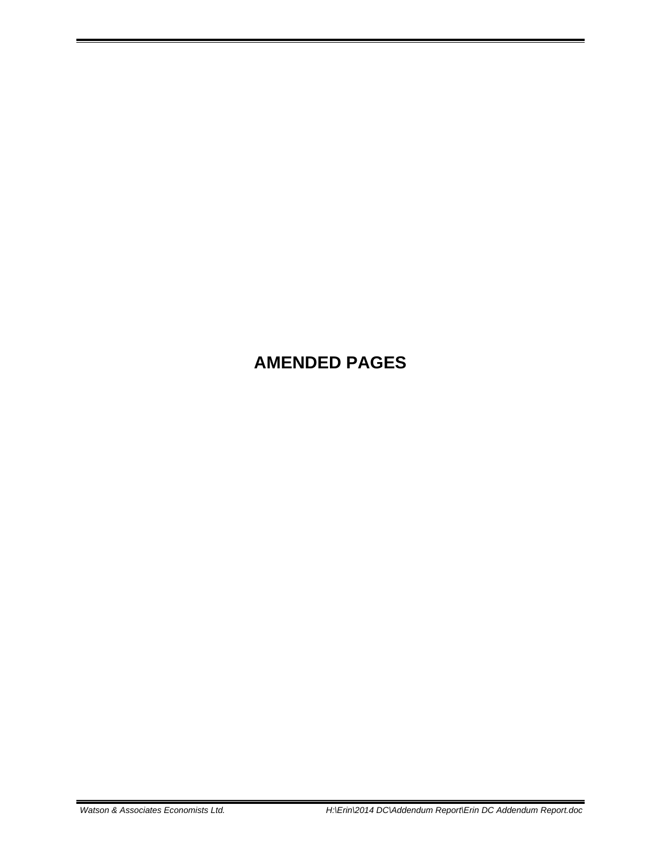# **AMENDED PAGES**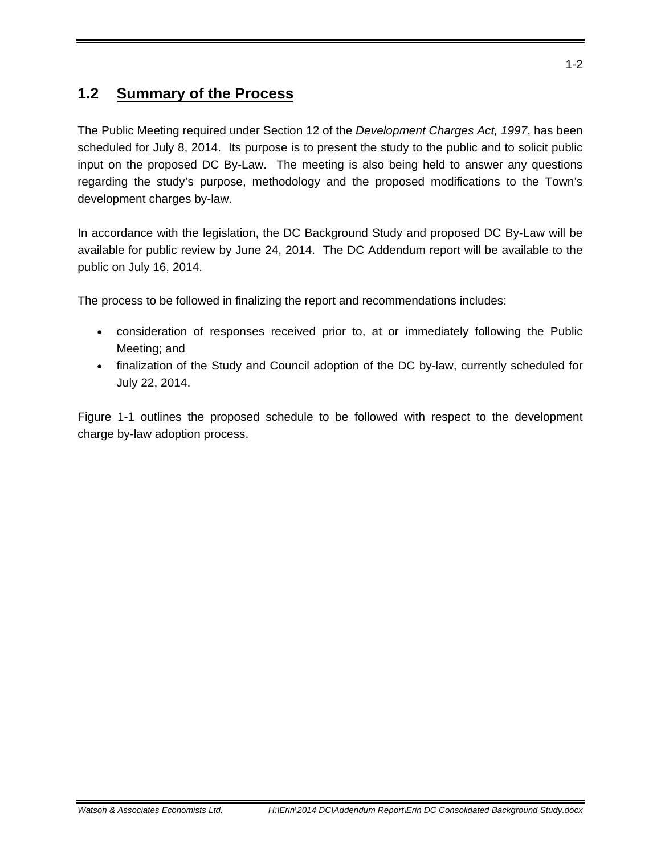## **1.2 Summary of the Process**

The Public Meeting required under Section 12 of the *Development Charges Act, 1997*, has been scheduled for July 8, 2014. Its purpose is to present the study to the public and to solicit public input on the proposed DC By-Law. The meeting is also being held to answer any questions regarding the study's purpose, methodology and the proposed modifications to the Town's development charges by-law.

In accordance with the legislation, the DC Background Study and proposed DC By-Law will be available for public review by June 24, 2014. The DC Addendum report will be available to the public on July 16, 2014.

The process to be followed in finalizing the report and recommendations includes:

- consideration of responses received prior to, at or immediately following the Public Meeting; and
- finalization of the Study and Council adoption of the DC by-law, currently scheduled for July 22, 2014.

Figure 1-1 outlines the proposed schedule to be followed with respect to the development charge by-law adoption process.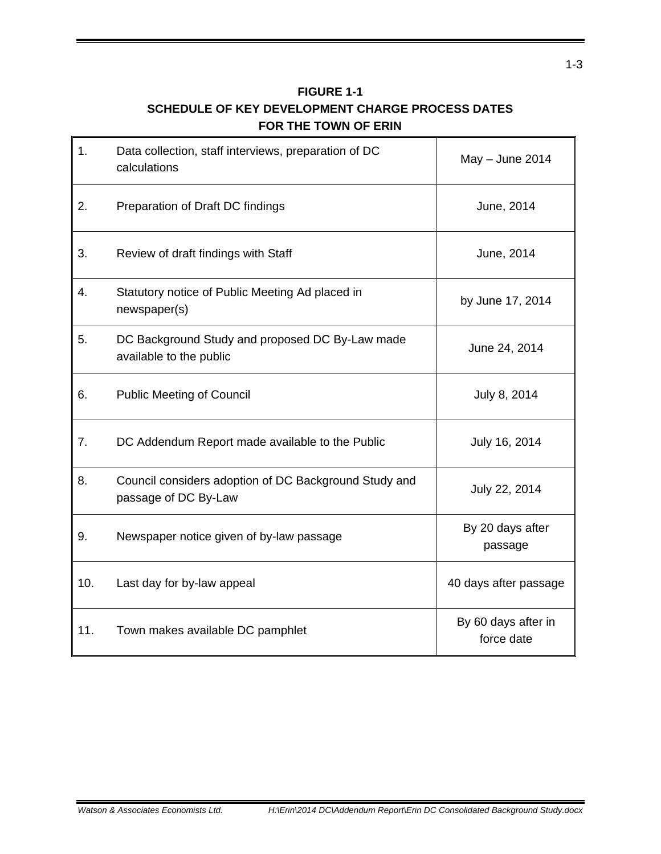| <b>FIGURE 1-1</b>                                |
|--------------------------------------------------|
| SCHEDULE OF KEY DEVELOPMENT CHARGE PROCESS DATES |
| FOR THE TOWN OF ERIN                             |

| 1.  | Data collection, staff interviews, preparation of DC<br>calculations          | May - June 2014                   |  |
|-----|-------------------------------------------------------------------------------|-----------------------------------|--|
| 2.  | Preparation of Draft DC findings                                              | June, 2014                        |  |
| 3.  | Review of draft findings with Staff                                           | June, 2014                        |  |
| 4.  | Statutory notice of Public Meeting Ad placed in<br>newspaper(s)               | by June 17, 2014                  |  |
| 5.  | DC Background Study and proposed DC By-Law made<br>available to the public    | June 24, 2014                     |  |
| 6.  | <b>Public Meeting of Council</b>                                              | July 8, 2014                      |  |
| 7.  | DC Addendum Report made available to the Public                               | July 16, 2014                     |  |
| 8.  | Council considers adoption of DC Background Study and<br>passage of DC By-Law | July 22, 2014                     |  |
| 9.  | Newspaper notice given of by-law passage                                      | By 20 days after<br>passage       |  |
| 10. | Last day for by-law appeal                                                    | 40 days after passage             |  |
| 11. | Town makes available DC pamphlet                                              | By 60 days after in<br>force date |  |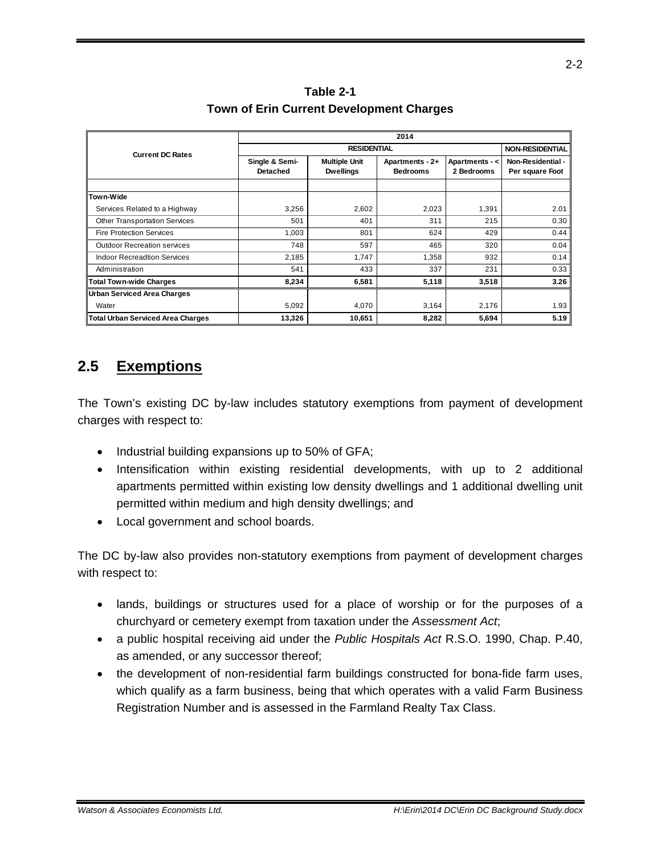**Table 2-1 Town of Erin Current Development Charges** 

|                                      | 2014                              |                                          |                                    |                              |                                      |  |  |
|--------------------------------------|-----------------------------------|------------------------------------------|------------------------------------|------------------------------|--------------------------------------|--|--|
| <b>Current DC Rates</b>              |                                   | <b>NON-RESIDENTIAL</b>                   |                                    |                              |                                      |  |  |
|                                      | Single & Semi-<br><b>Detached</b> | <b>Multiple Unit</b><br><b>Dwellings</b> | Apartments - 2+<br><b>Bedrooms</b> | Apartments - <<br>2 Bedrooms | Non-Residential -<br>Per square Foot |  |  |
|                                      |                                   |                                          |                                    |                              |                                      |  |  |
| Town-Wide                            |                                   |                                          |                                    |                              |                                      |  |  |
| Services Related to a Highway        | 3.256                             | 2,602                                    | 2,023                              | 1,391                        | 2.01                                 |  |  |
| <b>Other Transportation Services</b> | 501                               | 401                                      | 311                                | 215                          | 0.30                                 |  |  |
| <b>Fire Protection Services</b>      | 1.003                             | 801                                      | 624                                | 429                          | 0.44                                 |  |  |
| <b>Outdoor Recreation services</b>   | 748                               | 597                                      | 465                                | 320                          | 0.04                                 |  |  |
| <b>Indoor Recreadtion Services</b>   | 2,185                             | 1,747                                    | 1,358                              | 932                          | 0.14                                 |  |  |
| Administration                       | 541                               | 433                                      | 337                                | 231                          | 0.33                                 |  |  |
| Total Town-wide Charges              | 8,234                             | 6,581                                    | 5,118                              | 3,518                        | 3.26                                 |  |  |
| Urban Serviced Area Charges          |                                   |                                          |                                    |                              |                                      |  |  |
| Water                                | 5,092                             | 4,070                                    | 3,164                              | 2,176                        | 1.93                                 |  |  |
| Total Urban Serviced Area Charges    | 13,326                            | 10,651                                   | 8,282                              | 5,694                        | 5.19                                 |  |  |

#### **2.5 Exemptions**

The Town's existing DC by-law includes statutory exemptions from payment of development charges with respect to:

- $\bullet$  Industrial building expansions up to 50% of GFA;
- Intensification within existing residential developments, with up to 2 additional apartments permitted within existing low density dwellings and 1 additional dwelling unit permitted within medium and high density dwellings; and
- Local government and school boards.

The DC by-law also provides non-statutory exemptions from payment of development charges with respect to:

- lands, buildings or structures used for a place of worship or for the purposes of a churchyard or cemetery exempt from taxation under the *Assessment Act*;
- a public hospital receiving aid under the *Public Hospitals Act* R.S.O. 1990, Chap. P.40, as amended, or any successor thereof;
- the development of non-residential farm buildings constructed for bona-fide farm uses, which qualify as a farm business, being that which operates with a valid Farm Business Registration Number and is assessed in the Farmland Realty Tax Class.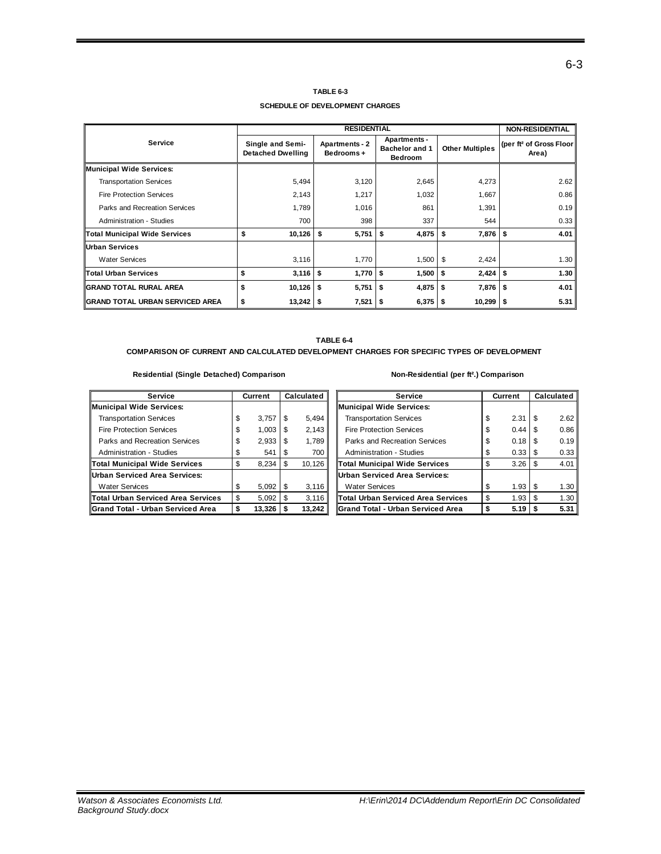#### **TABLE 6-3**

**SCHEDULE OF DEVELOPMENT CHARGES**

|                                      |                                              | <b>NON-RESIDENTIAL</b>             |                                                                |                              |                                              |
|--------------------------------------|----------------------------------------------|------------------------------------|----------------------------------------------------------------|------------------------------|----------------------------------------------|
| <b>Service</b>                       | Single and Semi-<br><b>Detached Dwelling</b> | <b>Apartments - 2</b><br>Bedrooms+ | <b>Apartments -</b><br><b>Bachelor and 1</b><br><b>Bedroom</b> | <b>Other Multiples</b>       | (per ft <sup>2</sup> of Gross Floor<br>Area) |
| <b>Municipal Wide Services:</b>      |                                              |                                    |                                                                |                              |                                              |
| <b>Transportation Services</b>       | 5,494                                        | 3,120                              | 2,645                                                          | 4,273                        | 2.62                                         |
| <b>Fire Protection Services</b>      | 2,143                                        | 1,217                              | 1,032                                                          | 1,667                        | 0.86                                         |
| Parks and Recreation Services        | 1,789                                        | 1,016                              | 861                                                            | 1,391                        | 0.19                                         |
| <b>Administration - Studies</b>      | 700                                          | 398                                | 337                                                            | 544                          | 0.33                                         |
| <b>Total Municipal Wide Services</b> | \$<br>10,126                                 | - \$<br>5,751                      | \$<br>4,875                                                    | -\$<br>$7,876$ $\frac{1}{5}$ | 4.01                                         |
| <b>IUrban Services</b>               |                                              |                                    |                                                                |                              |                                              |
| <b>Water Services</b>                | 3,116                                        | 1,770                              | $1,500$   \$                                                   | 2,424                        | 1.30                                         |
| <b>Total Urban Services</b>          | \$<br>3,116                                  | Ŝ.<br>1,770                        | 1,500<br>\$                                                    | \$<br>2,424                  | \$<br>1.30                                   |
| IGRAND TOTAL RURAL AREA              | $10,126$   \$<br>\$                          | 5,751                              | $4,875$ \$<br>Ŝ.                                               | $7,876$ $\frac{1}{5}$        | 4.01                                         |
| IGRAND TOTAL URBAN SERVICED AREA     | $13,242$   \$<br>\$                          | $7,521$ \$                         | 6,375                                                          | 10,299<br>- 5                | 5.31<br>∣ \$                                 |

**TABLE 6-4 COMPARISON OF CURRENT AND CALCULATED DEVELOPMENT CHARGES FOR SPECIFIC TYPES OF DEVELOPMENT**

#### **Residential (Single Detached) Comparison Non-Residential (per ft².) Comparison**

#### **Service Current Calculated Service Current Calculated Municipal Wide Services: Municipal Wide Services:** Transportation Services  $\begin{array}{ccc} \n\text{3,757} & \text{2.31} \\
\text{5.313} & \text{3.321} \\
\text{7.433} & \text{2.331} \\
\text{8.533} & \text{2.331} \\
\text{9.533} & \text{1.331} \\
\text{10.533} & \text{1.331} \\
\text{11.533} & \text{1.331} \\
\text{12.533} & \text{1.331} \\
\text{13.533} & \text{1.331} \\
\text{1$ Fire Protection Services  $\begin{array}{ccc} \vert & \frac{\sqrt{3}}{2} \\ \vert & \frac{\sqrt{3}}{2} \\ \vert & \frac{\sqrt{3}}{2} \end{array}$  2,143 Parks and Recreation Services \$ 2,933 \$ 1,789 Parks and Recreation Services \$ 0.18 \$ 0.19 Administration - Studies  $\begin{array}{ccc} 1 \text{ s} & 541 & \text{ s} & 700 \\ 2 \text{ s} & 2.33 & \text{ s} & 0.33 \\ 3 \text{ s} & 2.33 & \text{ s} & 0.33 \\ 4 \text{ s} & 2 \text{ s} & 0.33 & \text{ s} \end{array}$ **Total Municipal Wide Services**  $\boxed{\$ \ \ \ \ \ 8,234 \ \ \ \$ \ \ \ \ \ 10,126}$ **Urban Serviced Area Services: Urban Serviced Area Services:** Water Services **1.5 a. 3.116** \$ 1.416 **Total Urban Serviced Area Services**  $\begin{bmatrix} \$ & 5,092 \end{bmatrix}$  \$ 1,116 **Grand Total - Urban Serviced Area \$ 13,326 \$ Grand Total - Urban Serviced Area 13,242 \$ 5.19 \$ 5.31**

| <b>Service</b>                            | <b>Current</b> |    | Calculated |  |
|-------------------------------------------|----------------|----|------------|--|
| <b>Municipal Wide Services:</b>           |                |    |            |  |
| <b>Transportation Services</b>            | \$<br>2.31     | S  | 2.62       |  |
| <b>Fire Protection Services</b>           | \$<br>0.44     | \$ | 0.86       |  |
| Parks and Recreation Services             | \$<br>0.18     | \$ | 0.19       |  |
| <b>Administration - Studies</b>           | \$<br>0.33     | \$ | 0.33       |  |
| <b>Total Municipal Wide Services</b>      | \$<br>3.26     | \$ | 4.01       |  |
| <b>Urban Serviced Area Services:</b>      |                |    |            |  |
| <b>Water Services</b>                     | \$<br>1.93     | S  | 1.30       |  |
| <b>Total Urban Serviced Area Services</b> | \$<br>1.93     | \$ | 1.30       |  |
| Grand Total - Urban Serviced Area         | \$<br>5.19     |    | 5.31       |  |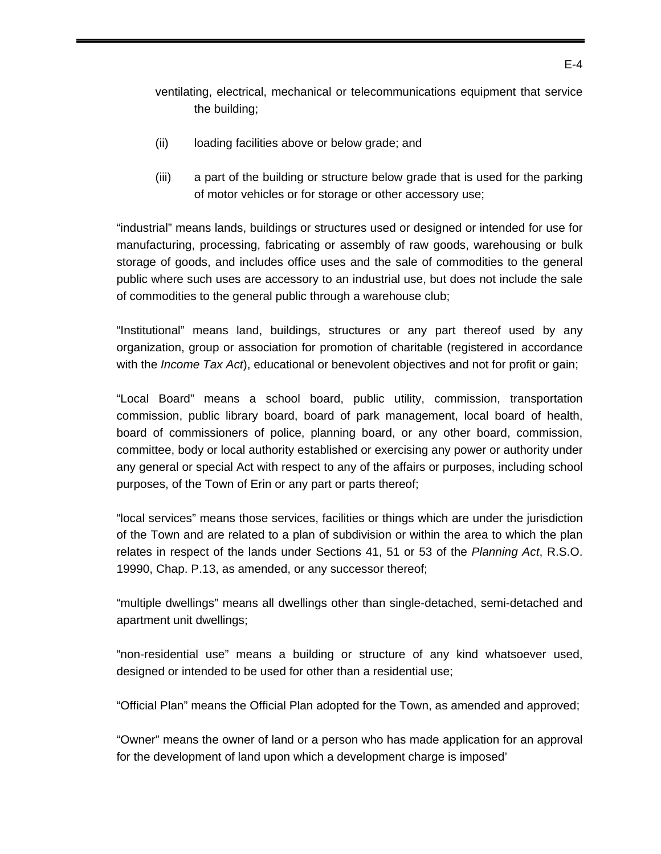ventilating, electrical, mechanical or telecommunications equipment that service the building;

- (ii) loading facilities above or below grade; and
- (iii) a part of the building or structure below grade that is used for the parking of motor vehicles or for storage or other accessory use;

 "industrial" means lands, buildings or structures used or designed or intended for use for manufacturing, processing, fabricating or assembly of raw goods, warehousing or bulk storage of goods, and includes office uses and the sale of commodities to the general public where such uses are accessory to an industrial use, but does not include the sale of commodities to the general public through a warehouse club;

"Institutional" means land, buildings, structures or any part thereof used by any organization, group or association for promotion of charitable (registered in accordance with the *Income Tax Act*), educational or benevolent objectives and not for profit or gain;

"Local Board" means a school board, public utility, commission, transportation commission, public library board, board of park management, local board of health, board of commissioners of police, planning board, or any other board, commission, committee, body or local authority established or exercising any power or authority under any general or special Act with respect to any of the affairs or purposes, including school purposes, of the Town of Erin or any part or parts thereof;

"local services" means those services, facilities or things which are under the jurisdiction of the Town and are related to a plan of subdivision or within the area to which the plan relates in respect of the lands under Sections 41, 51 or 53 of the *Planning Act*, R.S.O. 19990, Chap. P.13, as amended, or any successor thereof;

"multiple dwellings" means all dwellings other than single-detached, semi-detached and apartment unit dwellings;

"non-residential use" means a building or structure of any kind whatsoever used, designed or intended to be used for other than a residential use;

"Official Plan" means the Official Plan adopted for the Town, as amended and approved;

"Owner" means the owner of land or a person who has made application for an approval for the development of land upon which a development charge is imposed'